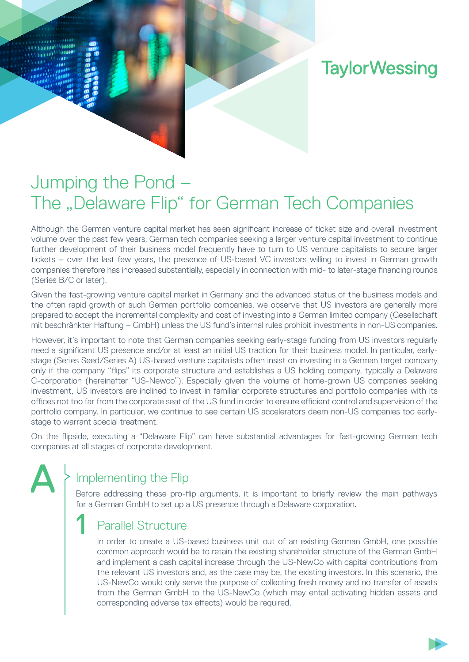# **TaylorWessing**

# Jumping the Pond – The "Delaware Flip" for German Tech Companies

Although the German venture capital market has seen significant increase of ticket size and overall investment volume over the past few years, German tech companies seeking a larger venture capital investment to continue further development of their business model frequently have to turn to US venture capitalists to secure larger tickets – over the last few years, the presence of US-based VC investors willing to invest in German growth companies therefore has increased substantially, especially in connection with mid- to later-stage financing rounds (Series B/C or later).

Given the fast-growing venture capital market in Germany and the advanced status of the business models and the often rapid growth of such German portfolio companies, we observe that US investors are generally more prepared to accept the incremental complexity and cost of investing into a German limited company (Gesellschaft mit beschränkter Haftung – GmbH) unless the US fund's internal rules prohibit investments in non-US companies.

However, it's important to note that German companies seeking early-stage funding from US investors regularly need a significant US presence and/or at least an initial US traction for their business model. In particular, earlystage (Series Seed/Series A) US-based venture capitalists often insist on investing in a German target company only if the company "flips" its corporate structure and establishes a US holding company, typically a Delaware C-corporation (hereinafter "US-Newco"). Especially given the volume of home-grown US companies seeking investment, US investors are inclined to invest in familiar corporate structures and portfolio companies with its offices not too far from the corporate seat of the US fund in order to ensure efficient control and supervision of the portfolio company. In particular, we continue to see certain US accelerators deem non-US companies too earlystage to warrant special treatment.

On the flipside, executing a "Delaware Flip" can have substantial advantages for fast-growing German tech companies at all stages of corporate development.

# Implementing the Flip

A

1

Before addressing these pro-flip arguments, it is important to briefly review the main pathways for a German GmbH to set up a US presence through a Delaware corporation.

### Parallel Structure

In order to create a US-based business unit out of an existing German GmbH, one possible common approach would be to retain the existing shareholder structure of the German GmbH and implement a cash capital increase through the US-NewCo with capital contributions from the relevant US investors and, as the case may be, the existing investors. In this scenario, the US-NewCo would only serve the purpose of collecting fresh money and no transfer of assets from the German GmbH to the US-NewCo (which may entail activating hidden assets and corresponding adverse tax effects) would be required.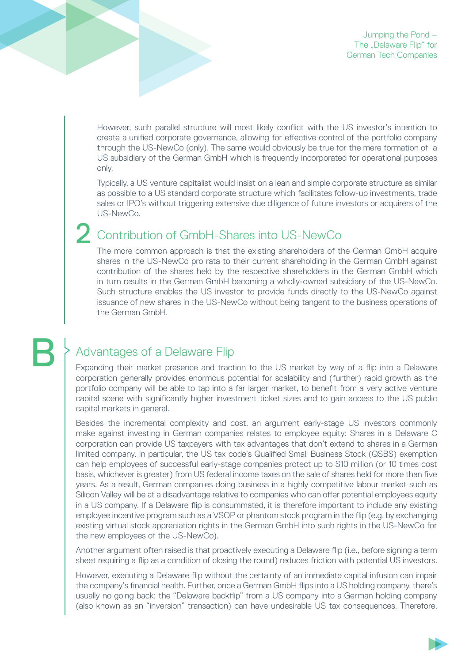However, such parallel structure will most likely conflict with the US investor's intention to create a unified corporate governance, allowing for effective control of the portfolio company through the US-NewCo (only). The same would obviously be true for the mere formation of a US subsidiary of the German GmbH which is frequently incorporated for operational purposes only.

Typically, a US venture capitalist would insist on a lean and simple corporate structure as similar as possible to a US standard corporate structure which facilitates follow-up investments, trade sales or IPO's without triggering extensive due diligence of future investors or acquirers of the US-NewCo.

#### Contribution of GmbH-Shares into US-NewCo 2

The more common approach is that the existing shareholders of the German GmbH acquire shares in the US-NewCo pro rata to their current shareholding in the German GmbH against contribution of the shares held by the respective shareholders in the German GmbH which in turn results in the German GmbH becoming a wholly-owned subsidiary of the US-NewCo. Such structure enables the US investor to provide funds directly to the US-NewCo against issuance of new shares in the US-NewCo without being tangent to the business operations of the German GmbH.

# B

### Advantages of a Delaware Flip

Expanding their market presence and traction to the US market by way of a flip into a Delaware corporation generally provides enormous potential for scalability and (further) rapid growth as the portfolio company will be able to tap into a far larger market, to benefit from a very active venture capital scene with significantly higher investment ticket sizes and to gain access to the US public capital markets in general.

Besides the incremental complexity and cost, an argument early-stage US investors commonly make against investing in German companies relates to employee equity: Shares in a Delaware C corporation can provide US taxpayers with tax advantages that don't extend to shares in a German limited company. In particular, the US tax code's Qualified Small Business Stock (QSBS) exemption can help employees of successful early-stage companies protect up to \$10 million (or 10 times cost basis, whichever is greater) from US federal income taxes on the sale of shares held for more than five years. As a result, German companies doing business in a highly competitive labour market such as Silicon Valley will be at a disadvantage relative to companies who can offer potential employees equity in a US company. If a Delaware flip is consummated, it is therefore important to include any existing employee incentive program such as a VSOP or phantom stock program in the flip (e.g. by exchanging existing virtual stock appreciation rights in the German GmbH into such rights in the US-NewCo for the new employees of the US-NewCo).

Another argument often raised is that proactively executing a Delaware flip (i.e., before signing a term sheet requiring a flip as a condition of closing the round) reduces friction with potential US investors.

However, executing a Delaware flip without the certainty of an immediate capital infusion can impair the company's financial health. Further, once a German GmbH flips into a US holding company, there's usually no going back; the "Delaware backflip" from a US company into a German holding company (also known as an "inversion" transaction) can have undesirable US tax consequences. Therefore,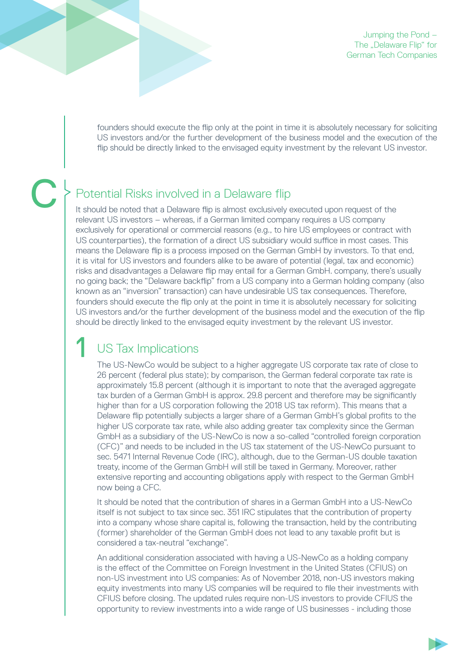Jumping the Pond – The "Delaware Flip" for German Tech Companies

founders should execute the flip only at the point in time it is absolutely necessary for soliciting US investors and/or the further development of the business model and the execution of the flip should be directly linked to the envisaged equity investment by the relevant US investor.

 $\begin{array}{c} \square \end{array}$ 

### Potential Risks involved in a Delaware flip

It should be noted that a Delaware flip is almost exclusively executed upon request of the relevant US investors – whereas, if a German limited company requires a US company exclusively for operational or commercial reasons (e.g., to hire US employees or contract with US counterparties), the formation of a direct US subsidiary would suffice in most cases. This means the Delaware flip is a process imposed on the German GmbH by investors. To that end, it is vital for US investors and founders alike to be aware of potential (legal, tax and economic) risks and disadvantages a Delaware flip may entail for a German GmbH. company, there's usually no going back; the "Delaware backflip" from a US company into a German holding company (also known as an "inversion" transaction) can have undesirable US tax consequences. Therefore, founders should execute the flip only at the point in time it is absolutely necessary for soliciting US investors and/or the further development of the business model and the execution of the flip should be directly linked to the envisaged equity investment by the relevant US investor.

# US Tax Implications

1

The US-NewCo would be subject to a higher aggregate US corporate tax rate of close to 26 percent (federal plus state); by comparison, the German federal corporate tax rate is approximately 15.8 percent (although it is important to note that the averaged aggregate tax burden of a German GmbH is approx. 29.8 percent and therefore may be significantly higher than for a US corporation following the 2018 US tax reform). This means that a Delaware flip potentially subjects a larger share of a German GmbH's global profits to the higher US corporate tax rate, while also adding greater tax complexity since the German GmbH as a subsidiary of the US-NewCo is now a so-called "controlled foreign corporation (CFC)" and needs to be included in the US tax statement of the US-NewCo pursuant to sec. 5471 Internal Revenue Code (IRC), although, due to the German-US double taxation treaty, income of the German GmbH will still be taxed in Germany. Moreover, rather extensive reporting and accounting obligations apply with respect to the German GmbH now being a CFC.

It should be noted that the contribution of shares in a German GmbH into a US-NewCo itself is not subject to tax since sec. 351 IRC stipulates that the contribution of property into a company whose share capital is, following the transaction, held by the contributing (former) shareholder of the German GmbH does not lead to any taxable profit but is considered a tax-neutral "exchange".

An additional consideration associated with having a US-NewCo as a holding company is the effect of the Committee on Foreign Investment in the United States (CFIUS) on non-US investment into US companies: As of November 2018, non-US investors making equity investments into many US companies will be required to file their investments with CFIUS before closing. The updated rules require non-US investors to provide CFIUS the opportunity to review investments into a wide range of US businesses - including those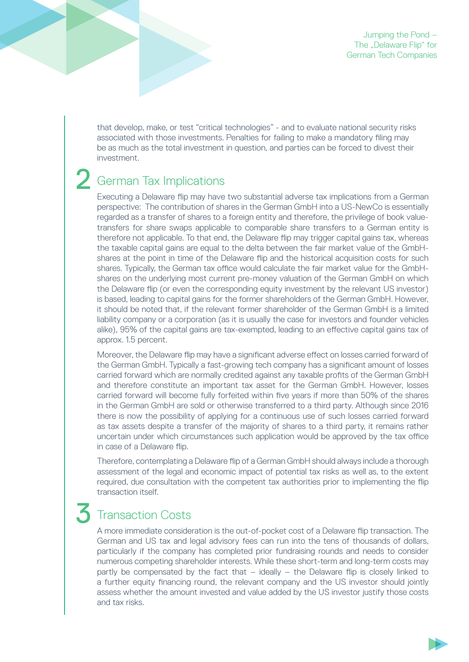that develop, make, or test "critical technologies" - and to evaluate national security risks associated with those investments. Penalties for failing to make a mandatory filing may be as much as the total investment in question, and parties can be forced to divest their investment.

#### German Tax Implications 2

Executing a Delaware flip may have two substantial adverse tax implications from a German perspective: The contribution of shares in the German GmbH into a US-NewCo is essentially regarded as a transfer of shares to a foreign entity and therefore, the privilege of book valuetransfers for share swaps applicable to comparable share transfers to a German entity is therefore not applicable. To that end, the Delaware flip may trigger capital gains tax, whereas the taxable capital gains are equal to the delta between the fair market value of the GmbHshares at the point in time of the Delaware flip and the historical acquisition costs for such shares. Typically, the German tax office would calculate the fair market value for the GmbHshares on the underlying most current pre-money valuation of the German GmbH on which the Delaware flip (or even the corresponding equity investment by the relevant US investor) is based, leading to capital gains for the former shareholders of the German GmbH. However, it should be noted that, if the relevant former shareholder of the German GmbH is a limited liability company or a corporation (as it is usually the case for investors and founder vehicles alike), 95% of the capital gains are tax-exempted, leading to an effective capital gains tax of approx. 1.5 percent.

Moreover, the Delaware flip may have a significant adverse effect on losses carried forward of the German GmbH. Typically a fast-growing tech company has a significant amount of losses carried forward which are normally credited against any taxable profits of the German GmbH and therefore constitute an important tax asset for the German GmbH. However, losses carried forward will become fully forfeited within five years if more than 50% of the shares in the German GmbH are sold or otherwise transferred to a third party. Although since 2016 there is now the possibility of applying for a continuous use of such losses carried forward as tax assets despite a transfer of the majority of shares to a third party, it remains rather uncertain under which circumstances such application would be approved by the tax office in case of a Delaware flip.

Therefore, contemplating a Delaware flip of a German GmbH should always include a thorough assessment of the legal and economic impact of potential tax risks as well as, to the extent required, due consultation with the competent tax authorities prior to implementing the flip transaction itself.

#### Transaction Costs 3

A more immediate consideration is the out-of-pocket cost of a Delaware flip transaction. The German and US tax and legal advisory fees can run into the tens of thousands of dollars, particularly if the company has completed prior fundraising rounds and needs to consider numerous competing shareholder interests. While these short-term and long-term costs may partly be compensated by the fact that – ideally – the Delaware flip is closely linked to a further equity financing round, the relevant company and the US investor should jointly assess whether the amount invested and value added by the US investor justify those costs and tax risks.